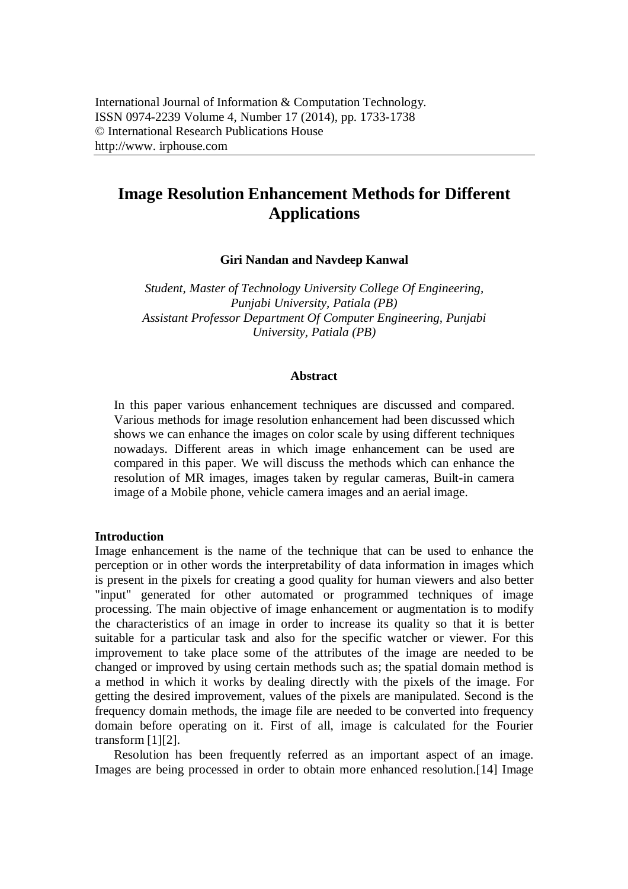# **Image Resolution Enhancement Methods for Different Applications**

**Giri Nandan and Navdeep Kanwal**

*Student, Master of Technology University College Of Engineering, Punjabi University, Patiala (PB) Assistant Professor Department Of Computer Engineering, Punjabi University, Patiala (PB)*

## **Abstract**

In this paper various enhancement techniques are discussed and compared. Various methods for image resolution enhancement had been discussed which shows we can enhance the images on color scale by using different techniques nowadays. Different areas in which image enhancement can be used are compared in this paper. We will discuss the methods which can enhance the resolution of MR images, images taken by regular cameras, Built-in camera image of a Mobile phone, vehicle camera images and an aerial image.

## **Introduction**

Image enhancement is the name of the technique that can be used to enhance the perception or in other words the interpretability of data information in images which is present in the pixels for creating a good quality for human viewers and also better "input" generated for other automated or programmed techniques of image processing. The main objective of image enhancement or augmentation is to modify the characteristics of an image in order to increase its quality so that it is better suitable for a particular task and also for the specific watcher or viewer. For this improvement to take place some of the attributes of the image are needed to be changed or improved by using certain methods such as; the spatial domain method is a method in which it works by dealing directly with the pixels of the image. For getting the desired improvement, values of the pixels are manipulated. Second is the frequency domain methods, the image file are needed to be converted into frequency domain before operating on it. First of all, image is calculated for the Fourier transform [1][2].

Resolution has been frequently referred as an important aspect of an image. Images are being processed in order to obtain more enhanced resolution.[14] Image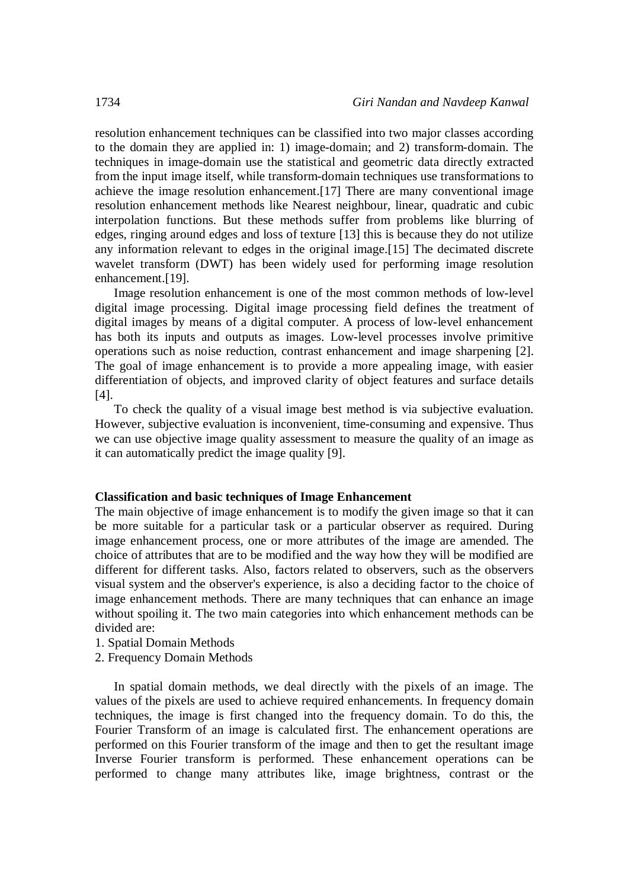resolution enhancement techniques can be classified into two major classes according to the domain they are applied in: 1) image-domain; and 2) transform-domain. The techniques in image-domain use the statistical and geometric data directly extracted from the input image itself, while transform-domain techniques use transformations to achieve the image resolution enhancement.[17] There are many conventional image resolution enhancement methods like Nearest neighbour, linear, quadratic and cubic interpolation functions. But these methods suffer from problems like blurring of edges, ringing around edges and loss of texture [13] this is because they do not utilize any information relevant to edges in the original image.[15] The decimated discrete wavelet transform (DWT) has been widely used for performing image resolution enhancement.[19].

Image resolution enhancement is one of the most common methods of low-level digital image processing. Digital image processing field defines the treatment of digital images by means of a digital computer. A process of low-level enhancement has both its inputs and outputs as images. Low-level processes involve primitive operations such as noise reduction, contrast enhancement and image sharpening [2]. The goal of image enhancement is to provide a more appealing image, with easier differentiation of objects, and improved clarity of object features and surface details [4].

To check the quality of a visual image best method is via subjective evaluation. However, subjective evaluation is inconvenient, time-consuming and expensive. Thus we can use objective image quality assessment to measure the quality of an image as it can automatically predict the image quality [9].

#### **Classification and basic techniques of Image Enhancement**

The main objective of image enhancement is to modify the given image so that it can be more suitable for a particular task or a particular observer as required. During image enhancement process, one or more attributes of the image are amended. The choice of attributes that are to be modified and the way how they will be modified are different for different tasks. Also, factors related to observers, such as the observers visual system and the observer's experience, is also a deciding factor to the choice of image enhancement methods. There are many techniques that can enhance an image without spoiling it. The two main categories into which enhancement methods can be divided are:

- 1. Spatial Domain Methods
- 2. Frequency Domain Methods

In spatial domain methods, we deal directly with the pixels of an image. The values of the pixels are used to achieve required enhancements. In frequency domain techniques, the image is first changed into the frequency domain. To do this, the Fourier Transform of an image is calculated first. The enhancement operations are performed on this Fourier transform of the image and then to get the resultant image Inverse Fourier transform is performed. These enhancement operations can be performed to change many attributes like, image brightness, contrast or the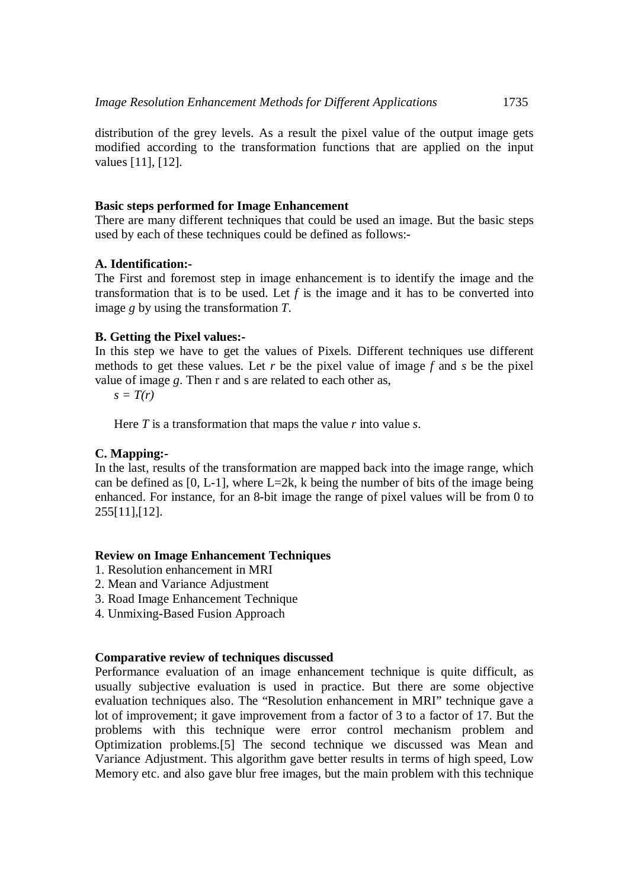distribution of the grey levels. As a result the pixel value of the output image gets modified according to the transformation functions that are applied on the input values [11], [12].

## **Basic steps performed for Image Enhancement**

There are many different techniques that could be used an image. But the basic steps used by each of these techniques could be defined as follows:-

# **A. Identification:-**

The First and foremost step in image enhancement is to identify the image and the transformation that is to be used. Let  $f$  is the image and it has to be converted into image *g* by using the transformation *T*.

## **B. Getting the Pixel values:-**

In this step we have to get the values of Pixels. Different techniques use different methods to get these values. Let *r* be the pixel value of image *f* and *s* be the pixel value of image *g*. Then r and s are related to each other as,

 $s = T(r)$ 

Here *T* is a transformation that maps the value *r* into value *s*.

#### **C. Mapping:-**

In the last, results of the transformation are mapped back into the image range, which can be defined as  $[0, L-1]$ , where  $L=2k$ , k being the number of bits of the image being enhanced. For instance, for an 8-bit image the range of pixel values will be from 0 to 255[11],[12].

## **Review on Image Enhancement Techniques**

- 1. Resolution enhancement in MRI
- 2. Mean and Variance Adjustment
- 3. Road Image Enhancement Technique
- 4. Unmixing-Based Fusion Approach

## **Comparative review of techniques discussed**

Performance evaluation of an image enhancement technique is quite difficult, as usually subjective evaluation is used in practice. But there are some objective evaluation techniques also. The "Resolution enhancement in MRI" technique gave a lot of improvement; it gave improvement from a factor of 3 to a factor of 17. But the problems with this technique were error control mechanism problem and Optimization problems.[5] The second technique we discussed was Mean and Variance Adjustment. This algorithm gave better results in terms of high speed, Low Memory etc. and also gave blur free images, but the main problem with this technique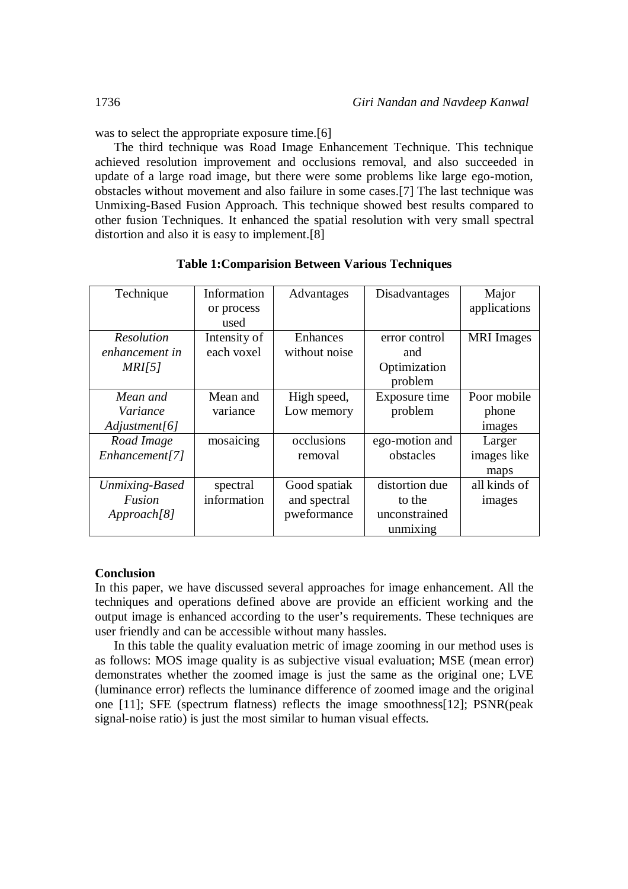was to select the appropriate exposure time.[6]

The third technique was Road Image Enhancement Technique. This technique achieved resolution improvement and occlusions removal, and also succeeded in update of a large road image, but there were some problems like large ego-motion, obstacles without movement and also failure in some cases.[7] The last technique was Unmixing-Based Fusion Approach. This technique showed best results compared to other fusion Techniques. It enhanced the spatial resolution with very small spectral distortion and also it is easy to implement.[8]

| Technique         | Information<br>or process<br>used | Advantages    | Disadvantages  | Major<br>applications |
|-------------------|-----------------------------------|---------------|----------------|-----------------------|
| <b>Resolution</b> | Intensity of                      | Enhances      | error control  | <b>MRI</b> Images     |
| enhancement in    | each voxel                        | without noise | and            |                       |
| MRI[5]            |                                   |               | Optimization   |                       |
|                   |                                   |               | problem        |                       |
| Mean and          | Mean and                          | High speed,   | Exposure time  | Poor mobile           |
| Variance          | variance                          | Low memory    | problem        | phone                 |
| Adjustment[6]     |                                   |               |                | images                |
| Road Image        | mosaicing                         | occlusions    | ego-motion and | Larger                |
| Enhancement[7]    |                                   | removal       | obstacles      | images like           |
|                   |                                   |               |                | maps                  |
| Unmixing-Based    | spectral                          | Good spatiak  | distortion due | all kinds of          |
| Fusion            | information                       | and spectral  | to the         | images                |
| Approach[8]       |                                   | pweformance   | unconstrained  |                       |
|                   |                                   |               | unmixing       |                       |

**Table 1:Comparision Between Various Techniques**

# **Conclusion**

In this paper, we have discussed several approaches for image enhancement. All the techniques and operations defined above are provide an efficient working and the output image is enhanced according to the user's requirements. These techniques are user friendly and can be accessible without many hassles.

In this table the quality evaluation metric of image zooming in our method uses is as follows: MOS image quality is as subjective visual evaluation; MSE (mean error) demonstrates whether the zoomed image is just the same as the original one; LVE (luminance error) reflects the luminance difference of zoomed image and the original one [11]; SFE (spectrum flatness) reflects the image smoothness[12]; PSNR(peak signal-noise ratio) is just the most similar to human visual effects.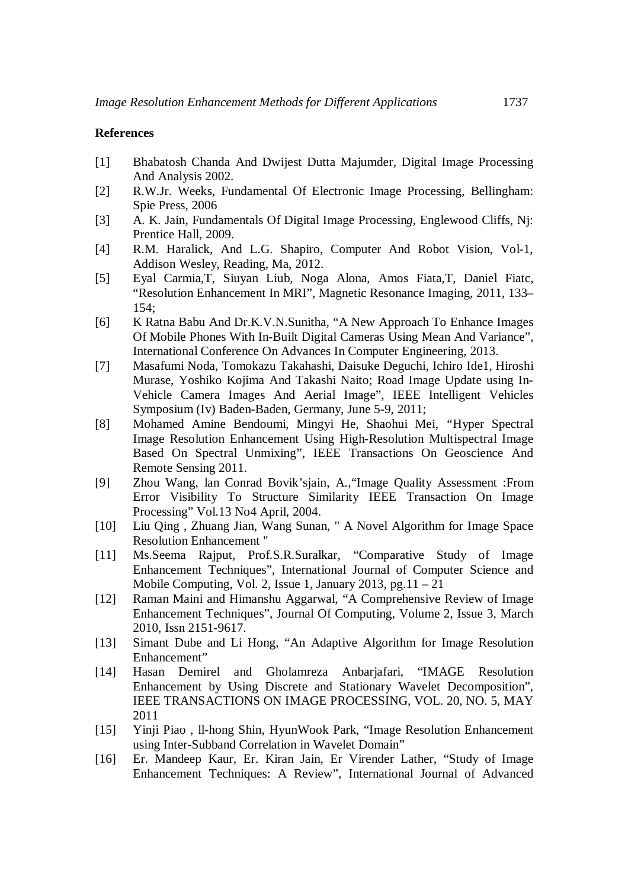## **References**

- [1] Bhabatosh Chanda And Dwijest Dutta Majumder, Digital Image Processing And Analysis 2002.
- [2] R.W.Jr. Weeks, Fundamental Of Electronic Image Processing, Bellingham: Spie Press, 2006
- [3] A. K. Jain, Fundamentals Of Digital Image Processin*g,* Englewood Cliffs, Nj: Prentice Hall, 2009.
- [4] R.M. Haralick, And L.G. Shapiro, Computer And Robot Vision, Vol-1, Addison Wesley, Reading, Ma, 2012.
- [5] Eyal Carmia,T, Siuyan Liub, Noga Alona, Amos Fiata,T, Daniel Fiatc, "Resolution Enhancement In MRI", Magnetic Resonance Imaging, 2011, 133– 154;
- [6] K Ratna Babu And Dr.K.V.N.Sunitha, "A New Approach To Enhance Images Of Mobile Phones With In-Built Digital Cameras Using Mean And Variance", International Conference On Advances In Computer Engineering, 2013.
- [7] Masafumi Noda, Tomokazu Takahashi, Daisuke Deguchi, Ichiro Ide1, Hiroshi Murase, Yoshiko Kojima And Takashi Naito; Road Image Update using In-Vehicle Camera Images And Aerial Image", IEEE Intelligent Vehicles Symposium (Iv) Baden-Baden, Germany, June 5-9, 2011;
- [8] Mohamed Amine Bendoumi, Mingyi He, Shaohui Mei, *"*Hyper Spectral Image Resolution Enhancement Using High-Resolution Multispectral Image Based On Spectral Unmixing", IEEE Transactions On Geoscience And Remote Sensing 2011.
- [9] Zhou Wang, lan Conrad Bovik'sjain, A.,"Image Quality Assessment :From Error Visibility To Structure Similarity IEEE Transaction On Image Processing" Vol.13 No4 April, 2004.
- [10] Liu Qing , Zhuang Jian, Wang Sunan, " A Novel Algorithm for Image Space Resolution Enhancement "
- [11] Ms.Seema Rajput, Prof.S.R.Suralkar, "Comparative Study of Image Enhancement Techniques", International Journal of Computer Science and Mobile Computing, Vol. 2, Issue 1, January 2013, pg.11 – 21
- [12] Raman Maini and Himanshu Aggarwal, "A Comprehensive Review of Image Enhancement Techniques", Journal Of Computing, Volume 2, Issue 3, March 2010, Issn 2151-9617.
- [13] Simant Dube and Li Hong, "An Adaptive Algorithm for Image Resolution Enhancement"
- [14] Hasan Demirel and Gholamreza Anbarjafari, "IMAGE Resolution Enhancement by Using Discrete and Stationary Wavelet Decomposition", IEEE TRANSACTIONS ON IMAGE PROCESSING, VOL. 20, NO. 5, MAY 2011
- [15] Yinji Piao , ll-hong Shin, HyunWook Park, "Image Resolution Enhancement using Inter-Subband Correlation in Wavelet Domain"
- [16] Er. Mandeep Kaur, Er. Kiran Jain, Er Virender Lather, "Study of Image Enhancement Techniques: A Review", International Journal of Advanced